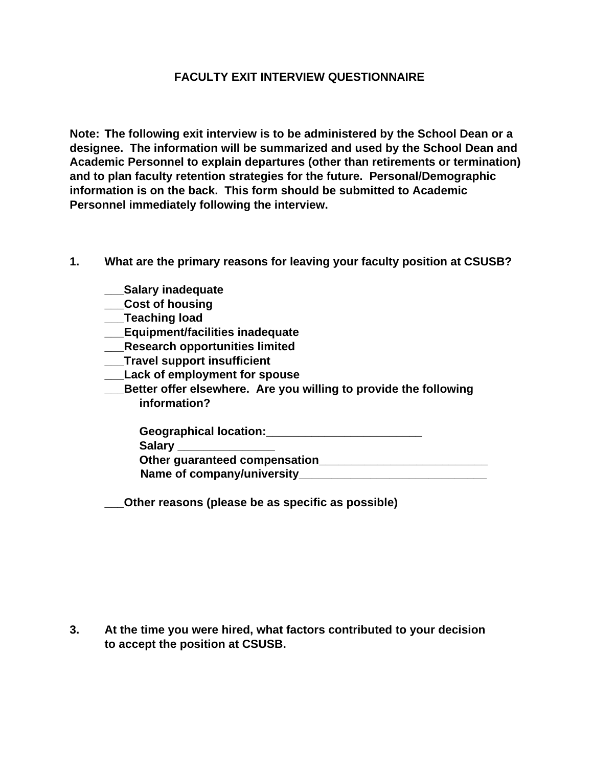## **FACULTY EXIT INTERVIEW QUESTIONNAIRE**

**Note: The following exit interview is to be administered by the School Dean or a designee. The information will be summarized and used by the School Dean and Academic Personnel to explain departures (other than retirements or termination) and to plan faculty retention strategies for the future. Personal/Demographic information is on the back. This form should be submitted to Academic Personnel immediately following the interview.**

- **1. What are the primary reasons for leaving your faculty position at CSUSB?**
	- **\_\_\_Salary inadequate**
	- **\_\_\_Cost of housing**
	- **\_\_\_Teaching load**
	- **\_\_\_Equipment/facilities inadequate**
	- **\_\_\_Research opportunities limited**
	- **\_\_\_Travel support insufficient**
	- **\_\_\_Lack of employment for spouse**
	- **\_\_\_Better offer elsewhere. Are you willing to provide the following information?**

| <b>Geographical location:</b> |  |
|-------------------------------|--|
| Salary _______________        |  |
| Other guaranteed compensation |  |
| Name of company/university_   |  |

**\_\_\_Other reasons (please be as specific as possible)**

**3. At the time you were hired, what factors contributed to your decision to accept the position at CSUSB.**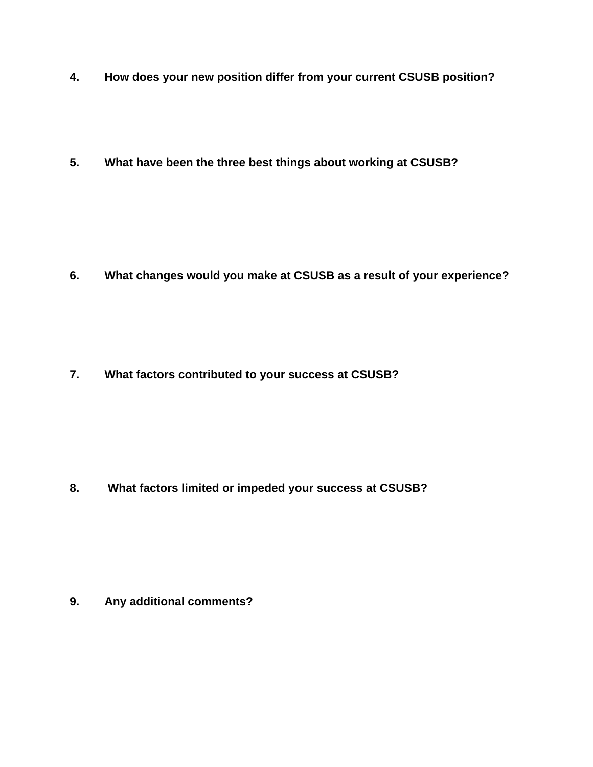- **4. How does your new position differ from your current CSUSB position?**
- **5. What have been the three best things about working at CSUSB?**

**6. What changes would you make at CSUSB as a result of your experience?**

**7. What factors contributed to your success at CSUSB?**

**8. What factors limited or impeded your success at CSUSB?**

**9. Any additional comments?**